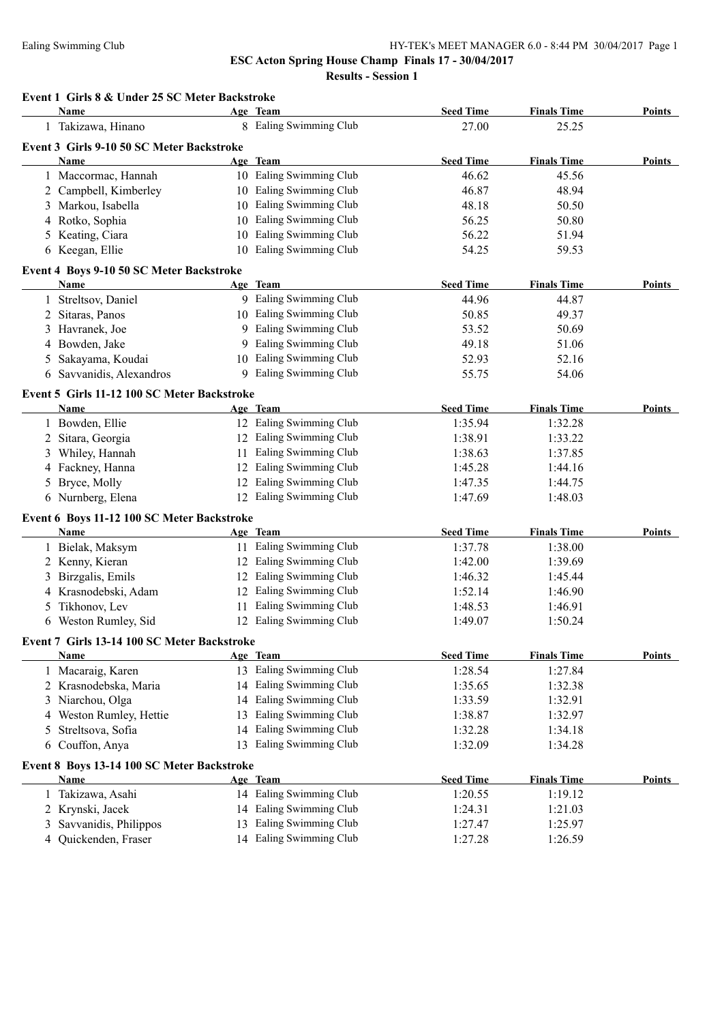| Event 1 Girls 8 & Under 25 SC Meter Backstroke<br>Name |    | Age Team                | <b>Seed Time</b> | <b>Finals Time</b> | <b>Points</b> |
|--------------------------------------------------------|----|-------------------------|------------------|--------------------|---------------|
| 1 Takizawa, Hinano                                     |    | 8 Ealing Swimming Club  | 27.00            | 25.25              |               |
| Event 3 Girls 9-10 50 SC Meter Backstroke              |    |                         |                  |                    |               |
| <b>Name</b>                                            |    | Age Team                | <b>Seed Time</b> | <b>Finals Time</b> | <b>Points</b> |
| 1 Maccormac, Hannah                                    |    | 10 Ealing Swimming Club | 46.62            | 45.56              |               |
| 2 Campbell, Kimberley                                  |    | 10 Ealing Swimming Club | 46.87            | 48.94              |               |
| 3 Markou, Isabella                                     |    | 10 Ealing Swimming Club | 48.18            | 50.50              |               |
| 4 Rotko, Sophia                                        |    | 10 Ealing Swimming Club | 56.25            | 50.80              |               |
| 5 Keating, Ciara                                       |    | 10 Ealing Swimming Club | 56.22            | 51.94              |               |
| 6 Keegan, Ellie                                        |    | 10 Ealing Swimming Club | 54.25            | 59.53              |               |
| Event 4 Boys 9-10 50 SC Meter Backstroke               |    |                         |                  |                    |               |
| Name                                                   |    | Age Team                | <b>Seed Time</b> | <b>Finals Time</b> | <b>Points</b> |
| 1 Streltsov, Daniel                                    |    | 9 Ealing Swimming Club  | 44.96            | 44.87              |               |
| 2 Sitaras, Panos                                       |    | 10 Ealing Swimming Club | 50.85            | 49.37              |               |
| 3 Havranek, Joe                                        |    | 9 Ealing Swimming Club  | 53.52            | 50.69              |               |
| 4 Bowden, Jake                                         |    | 9 Ealing Swimming Club  | 49.18            | 51.06              |               |
| 5 Sakayama, Koudai                                     |    | 10 Ealing Swimming Club | 52.93            | 52.16              |               |
| 6 Savvanidis, Alexandros                               |    | 9 Ealing Swimming Club  | 55.75            | 54.06              |               |
| Event 5 Girls 11-12 100 SC Meter Backstroke            |    |                         |                  |                    |               |
| Name                                                   |    | Age Team                | <b>Seed Time</b> | <b>Finals Time</b> | <b>Points</b> |
| 1 Bowden, Ellie                                        |    | 12 Ealing Swimming Club | 1:35.94          | 1:32.28            |               |
| 2 Sitara, Georgia                                      |    | 12 Ealing Swimming Club | 1:38.91          | 1:33.22            |               |
| 3 Whiley, Hannah                                       |    | 11 Ealing Swimming Club | 1:38.63          | 1:37.85            |               |
| 4 Fackney, Hanna                                       |    | 12 Ealing Swimming Club | 1:45.28          | 1:44.16            |               |
| 5 Bryce, Molly                                         |    | 12 Ealing Swimming Club | 1:47.35          | 1:44.75            |               |
| 6 Nurnberg, Elena                                      |    | 12 Ealing Swimming Club | 1:47.69          | 1:48.03            |               |
| Event 6 Boys 11-12 100 SC Meter Backstroke             |    |                         |                  |                    |               |
| Name                                                   |    | Age Team                | <b>Seed Time</b> | <b>Finals Time</b> | <b>Points</b> |
| 1 Bielak, Maksym                                       |    | 11 Ealing Swimming Club | 1:37.78          | 1:38.00            |               |
| 2 Kenny, Kieran                                        |    | 12 Ealing Swimming Club | 1:42.00          | 1:39.69            |               |
| 3 Birzgalis, Emils                                     |    | 12 Ealing Swimming Club | 1:46.32          | 1:45.44            |               |
| 4 Krasnodebski, Adam                                   |    | 12 Ealing Swimming Club | 1:52.14          | 1:46.90            |               |
| Tikhonov, Lev<br>5.                                    |    | 11 Ealing Swimming Club | 1:48.53          | 1:46.91            |               |
| 6 Weston Rumley, Sid                                   |    | 12 Ealing Swimming Club | 1:49.07          | 1:50.24            |               |
| Event 7 Girls 13-14 100 SC Meter Backstroke            |    |                         |                  |                    |               |
| <b>Name</b>                                            |    | Age Team                | <b>Seed Time</b> | <b>Finals Time</b> | Points        |
| 1 Macaraig, Karen                                      |    | 13 Ealing Swimming Club | 1:28.54          | 1:27.84            |               |
| 2 Krasnodebska, Maria                                  |    | 14 Ealing Swimming Club | 1:35.65          | 1:32.38            |               |
| 3 Niarchou, Olga                                       |    | 14 Ealing Swimming Club | 1:33.59          | 1:32.91            |               |
| Weston Rumley, Hettie<br>4                             | 13 | Ealing Swimming Club    | 1:38.87          | 1:32.97            |               |
| Streltsova, Sofia<br>5                                 |    | 14 Ealing Swimming Club | 1:32.28          | 1:34.18            |               |
| 6 Couffon, Anya                                        |    | 13 Ealing Swimming Club | 1:32.09          | 1:34.28            |               |
| Event 8 Boys 13-14 100 SC Meter Backstroke             |    |                         |                  |                    |               |
| <b>Name</b>                                            |    | Age Team                | <b>Seed Time</b> | <b>Finals Time</b> | <b>Points</b> |
| 1 Takizawa, Asahi                                      |    | 14 Ealing Swimming Club | 1:20.55          | 1:19.12            |               |
| 2 Krynski, Jacek                                       |    | 14 Ealing Swimming Club | 1:24.31          | 1:21.03            |               |
| Savvanidis, Philippos<br>3                             |    | 13 Ealing Swimming Club | 1:27.47          | 1:25.97            |               |
| 4 Quickenden, Fraser                                   |    | 14 Ealing Swimming Club | 1:27.28          | 1:26.59            |               |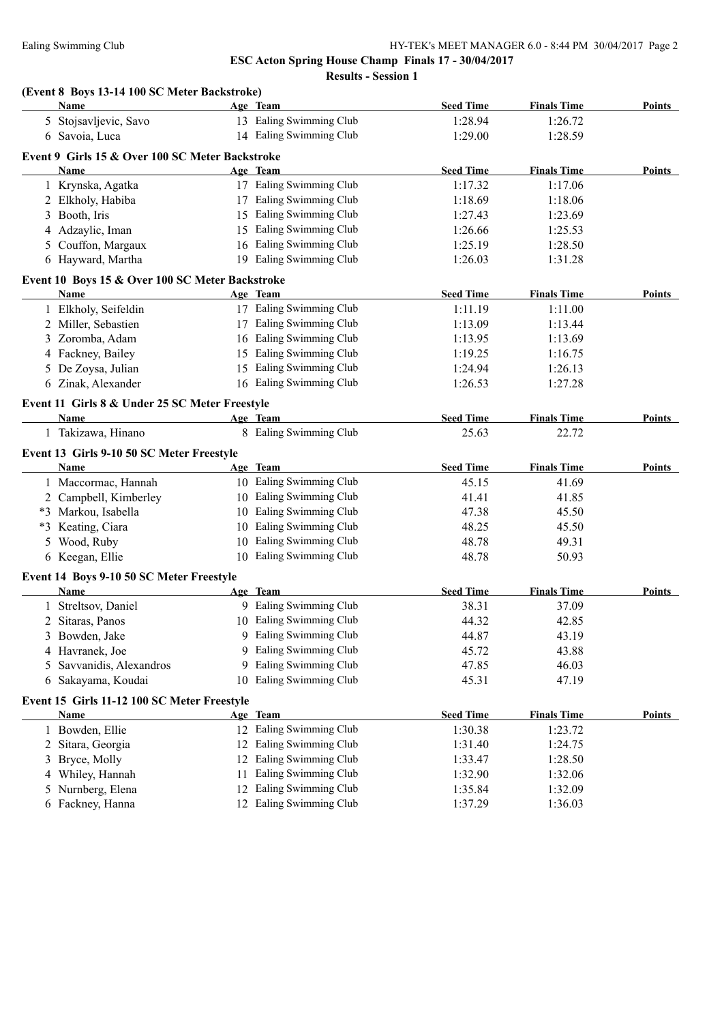**Results - Session 1**

# **(Event 8 Boys 13-14 100 SC Meter Backstroke)**

|    | <b>Name</b>                                                    |    | Age Team                | <b>Seed Time</b> | <b>Finals Time</b> | <b>Points</b> |
|----|----------------------------------------------------------------|----|-------------------------|------------------|--------------------|---------------|
|    | 5 Stojsavljevic, Savo                                          |    | 13 Ealing Swimming Club | 1:28.94          | 1:26.72            |               |
|    | 6 Savoia, Luca                                                 |    | 14 Ealing Swimming Club | 1:29.00          | 1:28.59            |               |
|    | Event 9 Girls 15 & Over 100 SC Meter Backstroke                |    |                         |                  |                    |               |
|    | Name                                                           |    | Age Team                | <b>Seed Time</b> | <b>Finals Time</b> | Points        |
|    | 1 Krynska, Agatka                                              |    | 17 Ealing Swimming Club | 1:17.32          | 1:17.06            |               |
|    | 2 Elkholy, Habiba                                              |    | 17 Ealing Swimming Club | 1:18.69          | 1:18.06            |               |
|    | 3 Booth, Iris                                                  |    | 15 Ealing Swimming Club | 1:27.43          | 1:23.69            |               |
|    | 4 Adzaylic, Iman                                               |    | 15 Ealing Swimming Club | 1:26.66          | 1:25.53            |               |
|    | 5 Couffon, Margaux                                             |    | 16 Ealing Swimming Club | 1:25.19          | 1:28.50            |               |
|    | 6 Hayward, Martha                                              |    | 19 Ealing Swimming Club | 1:26.03          | 1:31.28            |               |
|    |                                                                |    |                         |                  |                    |               |
|    | Event 10 Boys 15 & Over 100 SC Meter Backstroke<br><b>Name</b> |    | Age Team                | <b>Seed Time</b> | <b>Finals Time</b> | <b>Points</b> |
|    | 1 Elkholy, Seifeldin                                           |    | 17 Ealing Swimming Club | 1:11.19          | 1:11.00            |               |
|    | 2 Miller, Sebastien                                            |    | 17 Ealing Swimming Club | 1:13.09          | 1:13.44            |               |
|    | 3 Zoromba, Adam                                                |    | 16 Ealing Swimming Club | 1:13.95          | 1:13.69            |               |
|    | 4 Fackney, Bailey                                              |    | 15 Ealing Swimming Club | 1:19.25          | 1:16.75            |               |
|    | 5 De Zoysa, Julian                                             |    | 15 Ealing Swimming Club | 1:24.94          | 1:26.13            |               |
|    | 6 Zinak, Alexander                                             |    | 16 Ealing Swimming Club | 1:26.53          | 1:27.28            |               |
|    |                                                                |    |                         |                  |                    |               |
|    | Event 11 Girls 8 & Under 25 SC Meter Freestyle                 |    |                         |                  |                    |               |
|    | Name                                                           |    | Age Team                | <b>Seed Time</b> | <b>Finals Time</b> | <b>Points</b> |
|    | 1 Takizawa, Hinano                                             |    | 8 Ealing Swimming Club  | 25.63            | 22.72              |               |
|    | Event 13 Girls 9-10 50 SC Meter Freestyle                      |    |                         |                  |                    |               |
|    | Name                                                           |    | Age Team                | <b>Seed Time</b> | <b>Finals Time</b> | <b>Points</b> |
|    | 1 Maccormac, Hannah                                            |    | 10 Ealing Swimming Club | 45.15            | 41.69              |               |
|    | 2 Campbell, Kimberley                                          |    | 10 Ealing Swimming Club | 41.41            | 41.85              |               |
|    | *3 Markou, Isabella                                            |    | 10 Ealing Swimming Club | 47.38            | 45.50              |               |
|    | *3 Keating, Ciara                                              |    | 10 Ealing Swimming Club | 48.25            | 45.50              |               |
| 5  | Wood, Ruby                                                     | 10 | Ealing Swimming Club    | 48.78            | 49.31              |               |
|    | 6 Keegan, Ellie                                                |    | 10 Ealing Swimming Club | 48.78            | 50.93              |               |
|    | Event 14 Boys 9-10 50 SC Meter Freestyle                       |    |                         |                  |                    |               |
|    | Name                                                           |    | Age Team                | <b>Seed Time</b> | <b>Finals Time</b> | Points        |
|    | 1 Streltsov, Daniel                                            |    | 9 Ealing Swimming Club  | 38.31            | 37.09              |               |
|    | 2 Sitaras, Panos                                               |    | 10 Ealing Swimming Club | 44.32            | 42.85              |               |
|    | 3 Bowden, Jake                                                 |    | 9 Ealing Swimming Club  | 44.87            | 43.19              |               |
|    | 4 Havranek, Joe                                                |    | 9 Ealing Swimming Club  | 45.72            | 43.88              |               |
| 5. | Savvanidis, Alexandros                                         | 9  | Ealing Swimming Club    | 47.85            | 46.03              |               |
|    | 6 Sakayama, Koudai                                             | 10 | Ealing Swimming Club    | 45.31            | 47.19              |               |
|    | Event 15 Girls 11-12 100 SC Meter Freestyle                    |    |                         |                  |                    |               |
|    | Name                                                           |    | Age Team                | <b>Seed Time</b> | <b>Finals Time</b> | Points        |
|    | 1 Bowden, Ellie                                                |    | 12 Ealing Swimming Club | 1:30.38          | 1:23.72            |               |
|    | 2 Sitara, Georgia                                              |    | 12 Ealing Swimming Club | 1:31.40          | 1:24.75            |               |
| 3  | Bryce, Molly                                                   |    | 12 Ealing Swimming Club | 1:33.47          | 1:28.50            |               |
| 4  | Whiley, Hannah                                                 | 11 | Ealing Swimming Club    | 1:32.90          | 1:32.06            |               |
|    | 5 Nurnberg, Elena                                              | 12 | Ealing Swimming Club    | 1:35.84          | 1:32.09            |               |
|    | 6 Fackney, Hanna                                               |    | 12 Ealing Swimming Club | 1:37.29          | 1:36.03            |               |
|    |                                                                |    |                         |                  |                    |               |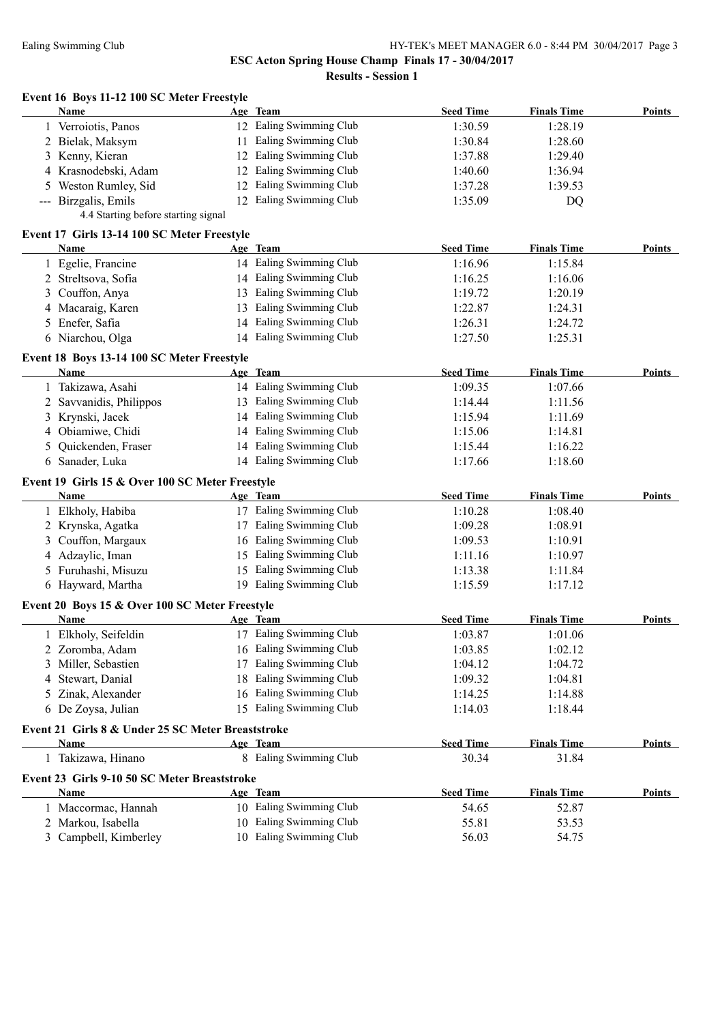|    | Event 16 Boys 11-12 100 SC Meter Freestyle<br>Name | Age Team                | <b>Seed Time</b> | <b>Finals Time</b> | <b>Points</b> |
|----|----------------------------------------------------|-------------------------|------------------|--------------------|---------------|
|    | 1 Verroiotis, Panos                                | 12 Ealing Swimming Club | 1:30.59          | 1:28.19            |               |
|    | 2 Bielak, Maksym                                   | 11 Ealing Swimming Club | 1:30.84          | 1:28.60            |               |
|    | 3 Kenny, Kieran                                    | 12 Ealing Swimming Club | 1:37.88          | 1:29.40            |               |
|    | 4 Krasnodebski, Adam                               | 12 Ealing Swimming Club | 1:40.60          | 1:36.94            |               |
| 5. | Weston Rumley, Sid                                 | 12 Ealing Swimming Club | 1:37.28          | 1:39.53            |               |
|    | --- Birzgalis, Emils                               | 12 Ealing Swimming Club | 1:35.09          | DQ                 |               |
|    | 4.4 Starting before starting signal                |                         |                  |                    |               |
|    | Event 17 Girls 13-14 100 SC Meter Freestyle        |                         |                  |                    |               |
|    | <b>Name</b>                                        | Age Team                | <b>Seed Time</b> | <b>Finals Time</b> | <b>Points</b> |
|    | 1 Egelie, Francine                                 | 14 Ealing Swimming Club | 1:16.96          | 1:15.84            |               |
|    | 2 Streltsova, Sofia                                | 14 Ealing Swimming Club | 1:16.25          | 1:16.06            |               |
|    | 3 Couffon, Anya                                    | 13 Ealing Swimming Club | 1:19.72          | 1:20.19            |               |
|    | 4 Macaraig, Karen                                  | 13 Ealing Swimming Club | 1:22.87          | 1:24.31            |               |
|    | 5 Enefer, Safia                                    | 14 Ealing Swimming Club | 1:26.31          | 1:24.72            |               |
|    | 6 Niarchou, Olga                                   | 14 Ealing Swimming Club | 1:27.50          | 1:25.31            |               |
|    | Event 18 Boys 13-14 100 SC Meter Freestyle         |                         |                  |                    |               |
|    | Name                                               | Age Team                | <b>Seed Time</b> | <b>Finals Time</b> | Points        |
|    | 1 Takizawa, Asahi                                  | 14 Ealing Swimming Club | 1:09.35          | 1:07.66            |               |
|    | 2 Savvanidis, Philippos                            | 13 Ealing Swimming Club | 1:14.44          | 1:11.56            |               |
|    | 3 Krynski, Jacek                                   | 14 Ealing Swimming Club | 1:15.94          | 1:11.69            |               |
|    | 4 Obiamiwe, Chidi                                  | 14 Ealing Swimming Club | 1:15.06          | 1:14.81            |               |
| 5  | Quickenden, Fraser                                 | 14 Ealing Swimming Club | 1:15.44          | 1:16.22            |               |
|    | 6 Sanader, Luka                                    | 14 Ealing Swimming Club | 1:17.66          | 1:18.60            |               |
|    | Event 19 Girls 15 & Over 100 SC Meter Freestyle    |                         |                  |                    |               |
|    | Name                                               | Age Team                | <b>Seed Time</b> | <b>Finals Time</b> | <b>Points</b> |
|    | 1 Elkholy, Habiba                                  | 17 Ealing Swimming Club | 1:10.28          | 1:08.40            |               |
|    | 2 Krynska, Agatka                                  | 17 Ealing Swimming Club | 1:09.28          | 1:08.91            |               |
|    | 3 Couffon, Margaux                                 | 16 Ealing Swimming Club | 1:09.53          | 1:10.91            |               |
|    | 4 Adzaylic, Iman                                   | 15 Ealing Swimming Club | 1:11.16          | 1:10.97            |               |
|    | 5 Furuhashi, Misuzu                                | 15 Ealing Swimming Club | 1:13.38          | 1:11.84            |               |
|    | 6 Hayward, Martha                                  | 19 Ealing Swimming Club | 1:15.59          | 1:17.12            |               |
|    | Event 20 Boys 15 & Over 100 SC Meter Freestyle     |                         |                  |                    |               |
|    | Name                                               | Age Team                | <b>Seed Time</b> | <b>Finals Time</b> | Points        |
|    | 1 Elkholy, Seifeldin                               | 17 Ealing Swimming Club | 1:03.87          | 1:01.06            |               |
|    | 2 Zoromba, Adam                                    | 16 Ealing Swimming Club | 1:03.85          | 1:02.12            |               |
|    | 3 Miller, Sebastien                                | 17 Ealing Swimming Club | 1:04.12          | 1:04.72            |               |
| 4  | Stewart, Danial                                    | 18 Ealing Swimming Club | 1:09.32          | 1:04.81            |               |
|    | 5 Zinak, Alexander                                 | 16 Ealing Swimming Club | 1:14.25          | 1:14.88            |               |
|    | 6 De Zoysa, Julian                                 | 15 Ealing Swimming Club | 1:14.03          | 1:18.44            |               |
|    | Event 21 Girls 8 & Under 25 SC Meter Breaststroke  |                         |                  |                    |               |
|    | Name                                               | Age Team                | <b>Seed Time</b> | <b>Finals Time</b> | Points        |
|    | 1 Takizawa, Hinano                                 | 8 Ealing Swimming Club  | 30.34            | 31.84              |               |
|    | Event 23 Girls 9-10 50 SC Meter Breaststroke       |                         |                  |                    |               |
|    | Name                                               | Age Team                | <b>Seed Time</b> | <b>Finals Time</b> | Points        |
|    | 1 Maccormac, Hannah                                | 10 Ealing Swimming Club | 54.65            | 52.87              |               |
|    | 2 Markou, Isabella                                 | 10 Ealing Swimming Club | 55.81            | 53.53              |               |
|    |                                                    | 10 Ealing Swimming Club | 56.03            | 54.75              |               |
|    | 3 Campbell, Kimberley                              |                         |                  |                    |               |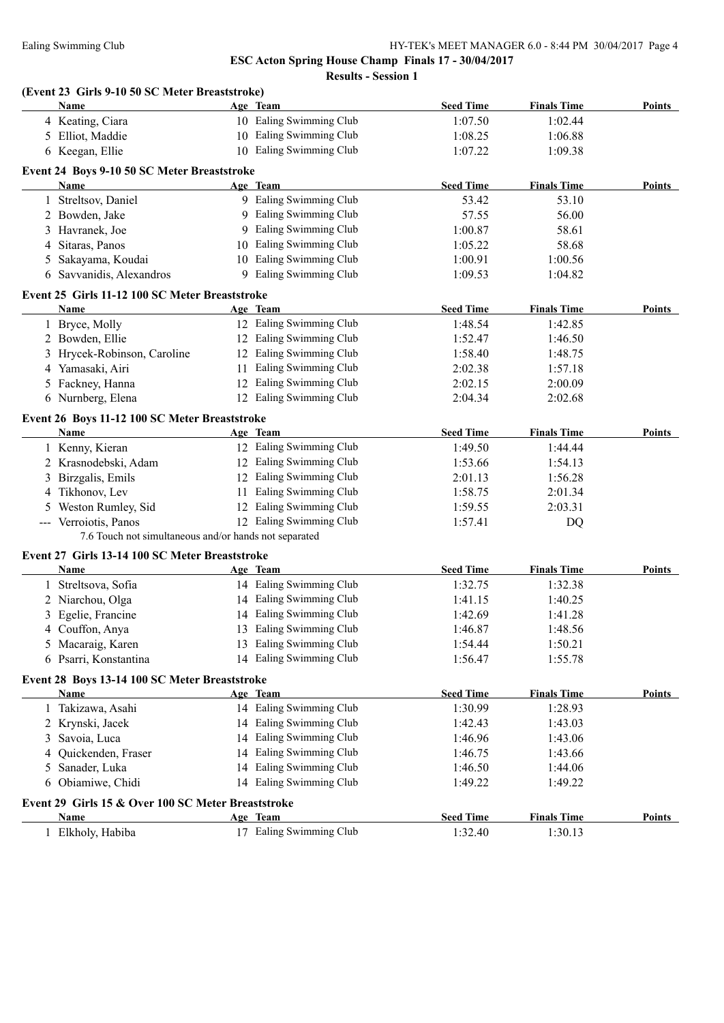|   | (Event 23 Girls 9-10 50 SC Meter Breaststroke)<br><b>Name</b> | Age Team                | <b>Seed Time</b>   | <b>Finals Time</b> | <b>Points</b> |
|---|---------------------------------------------------------------|-------------------------|--------------------|--------------------|---------------|
|   | 4 Keating, Ciara                                              | 10 Ealing Swimming Club | 1:07.50            | 1:02.44            |               |
|   | 5 Elliot, Maddie                                              | 10 Ealing Swimming Club | 1:08.25            | 1:06.88            |               |
|   | 6 Keegan, Ellie                                               | 10 Ealing Swimming Club | 1:07.22            | 1:09.38            |               |
|   |                                                               |                         |                    |                    |               |
|   | Event 24 Boys 9-10 50 SC Meter Breaststroke                   |                         |                    |                    |               |
|   | Name                                                          | Age Team                | <b>Seed Time</b>   | <b>Finals Time</b> | Points        |
|   | 1 Streltsov, Daniel                                           | 9 Ealing Swimming Club  | 53.42              | 53.10              |               |
|   | 2 Bowden, Jake                                                | 9 Ealing Swimming Club  | 57.55              | 56.00              |               |
|   | 3 Havranek, Joe                                               | 9 Ealing Swimming Club  | 1:00.87            | 58.61              |               |
|   | 4 Sitaras, Panos                                              | 10 Ealing Swimming Club | 1:05.22            | 58.68              |               |
|   | 5 Sakayama, Koudai                                            | 10 Ealing Swimming Club | 1:00.91            | 1:00.56            |               |
|   | 6 Savvanidis, Alexandros                                      | 9 Ealing Swimming Club  | 1:09.53            | 1:04.82            |               |
|   | Event 25 Girls 11-12 100 SC Meter Breaststroke                |                         |                    |                    |               |
|   | Name                                                          | Age Team                | <b>Seed Time</b>   | <b>Finals Time</b> | Points        |
|   | 1 Bryce, Molly                                                | 12 Ealing Swimming Club | 1:48.54            | 1:42.85            |               |
|   | 2 Bowden, Ellie                                               | 12 Ealing Swimming Club | 1:52.47            | 1:46.50            |               |
|   | 3 Hrycek-Robinson, Caroline                                   | 12 Ealing Swimming Club | 1:58.40            | 1:48.75            |               |
|   | 4 Yamasaki, Airi                                              | 11 Ealing Swimming Club | 2:02.38            | 1:57.18            |               |
|   | 5 Fackney, Hanna                                              | 12 Ealing Swimming Club | 2:02.15            | 2:00.09            |               |
|   | 6 Nurnberg, Elena                                             | 12 Ealing Swimming Club | 2:04.34            | 2:02.68            |               |
|   | Event 26 Boys 11-12 100 SC Meter Breaststroke                 |                         |                    |                    |               |
|   | <b>Name</b>                                                   | Age Team                | <b>Seed Time</b>   | <b>Finals Time</b> | Points        |
|   | 1 Kenny, Kieran                                               | 12 Ealing Swimming Club | 1:49.50            | 1:44.44            |               |
|   | 2 Krasnodebski, Adam                                          | 12 Ealing Swimming Club | 1:53.66            | 1:54.13            |               |
|   | 3 Birzgalis, Emils                                            | 12 Ealing Swimming Club | 2:01.13            | 1:56.28            |               |
|   | 4 Tikhonov, Lev                                               | 11 Ealing Swimming Club | 1:58.75            | 2:01.34            |               |
|   | 5 Weston Rumley, Sid                                          | 12 Ealing Swimming Club | 1:59.55            | 2:03.31            |               |
|   | --- Verroiotis, Panos                                         | 12 Ealing Swimming Club | 1:57.41            | DQ                 |               |
|   | 7.6 Touch not simultaneous and/or hands not separated         |                         |                    |                    |               |
|   |                                                               |                         |                    |                    |               |
|   | Event 27 Girls 13-14 100 SC Meter Breaststroke<br>Name        | Age Team                | <b>Seed Time</b>   | <b>Finals Time</b> | <b>Points</b> |
|   | Streltsova, Sofia                                             | 14 Ealing Swimming Club | 1:32.75            | 1:32.38            |               |
| 1 |                                                               | 14 Ealing Swimming Club |                    |                    |               |
|   | 2 Niarchou, Olga                                              | 14 Ealing Swimming Club | 1:41.15<br>1:42.69 | 1:40.25<br>1:41.28 |               |
|   | 3 Egelie, Francine                                            | 13 Ealing Swimming Club |                    |                    |               |
|   | 4 Couffon, Anya                                               | 13 Ealing Swimming Club | 1:46.87            | 1:48.56<br>1:50.21 |               |
|   | 5 Macaraig, Karen                                             | 14 Ealing Swimming Club | 1:54.44            |                    |               |
|   | 6 Psarri, Konstantina                                         |                         | 1:56.47            | 1:55.78            |               |
|   | Event 28 Boys 13-14 100 SC Meter Breaststroke                 |                         |                    |                    |               |
|   | <b>Name</b>                                                   | Age Team                | <b>Seed Time</b>   | <b>Finals Time</b> | <b>Points</b> |
|   | 1 Takizawa, Asahi                                             | 14 Ealing Swimming Club | 1:30.99            | 1:28.93            |               |
|   | 2 Krynski, Jacek                                              | 14 Ealing Swimming Club | 1:42.43            | 1:43.03            |               |
| 3 | Savoia, Luca                                                  | 14 Ealing Swimming Club | 1:46.96            | 1:43.06            |               |
| 4 | Quickenden, Fraser                                            | 14 Ealing Swimming Club | 1:46.75            | 1:43.66            |               |
| 5 | Sanader, Luka                                                 | 14 Ealing Swimming Club | 1:46.50            | 1:44.06            |               |
|   | 6 Obiamiwe, Chidi                                             | 14 Ealing Swimming Club | 1:49.22            | 1:49.22            |               |
|   | Event 29 Girls 15 & Over 100 SC Meter Breaststroke            |                         |                    |                    |               |
|   | Name                                                          | Age Team                | <b>Seed Time</b>   | <b>Finals Time</b> | <b>Points</b> |
|   | 1 Elkholy, Habiba                                             | 17 Ealing Swimming Club | 1:32.40            | 1:30.13            |               |
|   |                                                               |                         |                    |                    |               |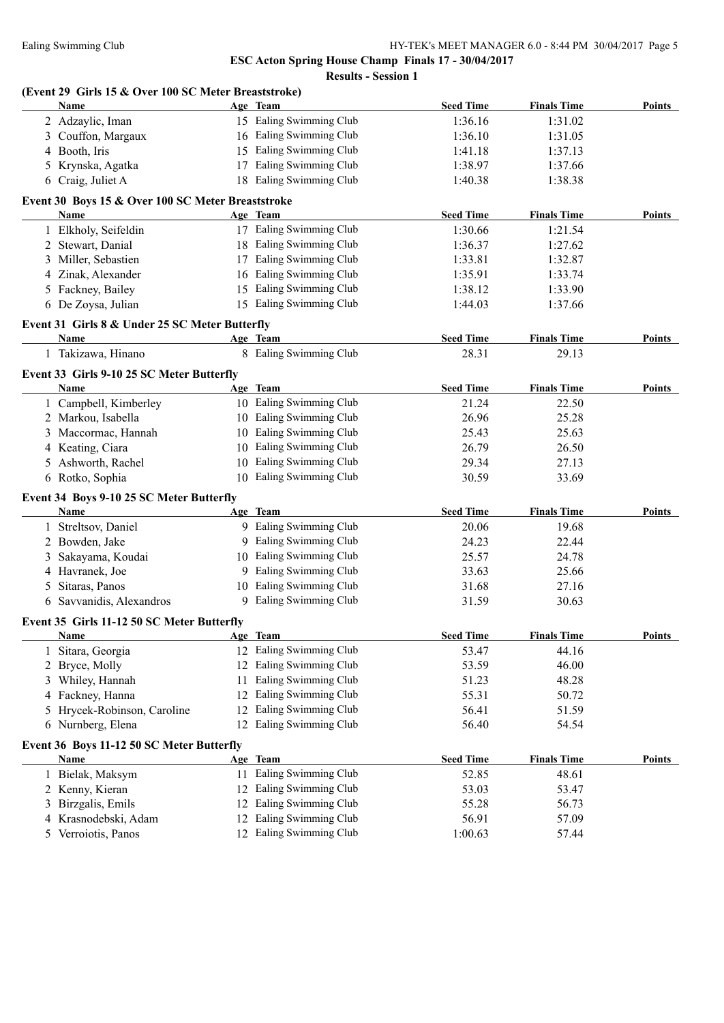|   | (Event 29 Girls 15 & Over 100 SC Meter Breaststroke)<br>Name |    | Age Team                | <b>Seed Time</b> | <b>Finals Time</b> | <b>Points</b> |
|---|--------------------------------------------------------------|----|-------------------------|------------------|--------------------|---------------|
|   | 2 Adzaylic, Iman                                             |    | 15 Ealing Swimming Club | 1:36.16          | 1:31.02            |               |
|   | 3 Couffon, Margaux                                           |    | 16 Ealing Swimming Club | 1:36.10          | 1:31.05            |               |
|   | 4 Booth, Iris                                                |    | 15 Ealing Swimming Club | 1:41.18          | 1:37.13            |               |
|   | 5 Krynska, Agatka                                            |    | 17 Ealing Swimming Club | 1:38.97          | 1:37.66            |               |
|   | 6 Craig, Juliet A                                            |    | 18 Ealing Swimming Club | 1:40.38          | 1:38.38            |               |
|   |                                                              |    |                         |                  |                    |               |
|   | Event 30 Boys 15 & Over 100 SC Meter Breaststroke<br>Name    |    | Age Team                | <b>Seed Time</b> | <b>Finals Time</b> | Points        |
|   | 1 Elkholy, Seifeldin                                         |    | 17 Ealing Swimming Club | 1:30.66          | 1:21.54            |               |
|   | 2 Stewart, Danial                                            |    | 18 Ealing Swimming Club |                  |                    |               |
|   |                                                              |    | 17 Ealing Swimming Club | 1:36.37          | 1:27.62            |               |
| 3 | Miller, Sebastien                                            |    | 16 Ealing Swimming Club | 1:33.81          | 1:32.87            |               |
| 4 | Zinak, Alexander                                             |    |                         | 1:35.91          | 1:33.74            |               |
|   | 5 Fackney, Bailey                                            |    | 15 Ealing Swimming Club | 1:38.12          | 1:33.90            |               |
|   | 6 De Zoysa, Julian                                           |    | 15 Ealing Swimming Club | 1:44.03          | 1:37.66            |               |
|   | Event 31 Girls 8 & Under 25 SC Meter Butterfly               |    |                         |                  |                    |               |
|   | Name                                                         |    | Age Team                | <b>Seed Time</b> | <b>Finals Time</b> | Points        |
|   | 1 Takizawa, Hinano                                           |    | 8 Ealing Swimming Club  | 28.31            | 29.13              |               |
|   | Event 33 Girls 9-10 25 SC Meter Butterfly                    |    |                         |                  |                    |               |
|   | Name                                                         |    | Age Team                | <b>Seed Time</b> | <b>Finals Time</b> | <b>Points</b> |
|   | 1 Campbell, Kimberley                                        |    | 10 Ealing Swimming Club | 21.24            | 22.50              |               |
|   | 2 Markou, Isabella                                           |    | 10 Ealing Swimming Club | 26.96            | 25.28              |               |
|   | 3 Maccormac, Hannah                                          |    | 10 Ealing Swimming Club | 25.43            | 25.63              |               |
|   | 4 Keating, Ciara                                             |    | 10 Ealing Swimming Club | 26.79            | 26.50              |               |
|   | 5 Ashworth, Rachel                                           |    | 10 Ealing Swimming Club | 29.34            | 27.13              |               |
|   | 6 Rotko, Sophia                                              |    | 10 Ealing Swimming Club | 30.59            | 33.69              |               |
|   |                                                              |    |                         |                  |                    |               |
|   | Event 34 Boys 9-10 25 SC Meter Butterfly                     |    |                         |                  |                    |               |
|   | <b>Name</b>                                                  |    | Age Team                | <b>Seed Time</b> | <b>Finals Time</b> | Points        |
|   | 1 Streltsov, Daniel                                          |    | 9 Ealing Swimming Club  | 20.06            | 19.68              |               |
|   | 2 Bowden, Jake                                               |    | 9 Ealing Swimming Club  | 24.23            | 22.44              |               |
| 3 | Sakayama, Koudai                                             |    | 10 Ealing Swimming Club | 25.57            | 24.78              |               |
|   | 4 Havranek, Joe                                              |    | 9 Ealing Swimming Club  | 33.63            | 25.66              |               |
| 5 | Sitaras, Panos                                               |    | 10 Ealing Swimming Club | 31.68            | 27.16              |               |
|   | 6 Savvanidis, Alexandros                                     |    | 9 Ealing Swimming Club  | 31.59            | 30.63              |               |
|   | Event 35 Girls 11-12 50 SC Meter Butterfly                   |    |                         |                  |                    |               |
|   | <b>Name</b>                                                  |    | Age Team                | <b>Seed Time</b> | <b>Finals Time</b> | <b>Points</b> |
|   | Sitara, Georgia                                              |    | 12 Ealing Swimming Club | 53.47            | 44.16              |               |
| 2 | Bryce, Molly                                                 |    | 12 Ealing Swimming Club | 53.59            | 46.00              |               |
| 3 | Whiley, Hannah                                               | 11 | Ealing Swimming Club    | 51.23            | 48.28              |               |
| 4 | Fackney, Hanna                                               | 12 | Ealing Swimming Club    | 55.31            | 50.72              |               |
| 5 | Hrycek-Robinson, Caroline                                    | 12 | Ealing Swimming Club    | 56.41            | 51.59              |               |
| 6 | Nurnberg, Elena                                              |    | 12 Ealing Swimming Club | 56.40            | 54.54              |               |
|   | Event 36 Boys 11-12 50 SC Meter Butterfly                    |    |                         |                  |                    |               |
|   | <b>Name</b>                                                  |    | Age Team                | <b>Seed Time</b> | <b>Finals Time</b> | <b>Points</b> |
|   | 1 Bielak, Maksym                                             |    | 11 Ealing Swimming Club | 52.85            | 48.61              |               |
|   | 2 Kenny, Kieran                                              |    | 12 Ealing Swimming Club | 53.03            | 53.47              |               |
| 3 | Birzgalis, Emils                                             | 12 | Ealing Swimming Club    | 55.28            | 56.73              |               |
| 4 | Krasnodebski, Adam                                           | 12 | Ealing Swimming Club    | 56.91            | 57.09              |               |
| 5 | Verroiotis, Panos                                            |    | 12 Ealing Swimming Club | 1:00.63          | 57.44              |               |
|   |                                                              |    |                         |                  |                    |               |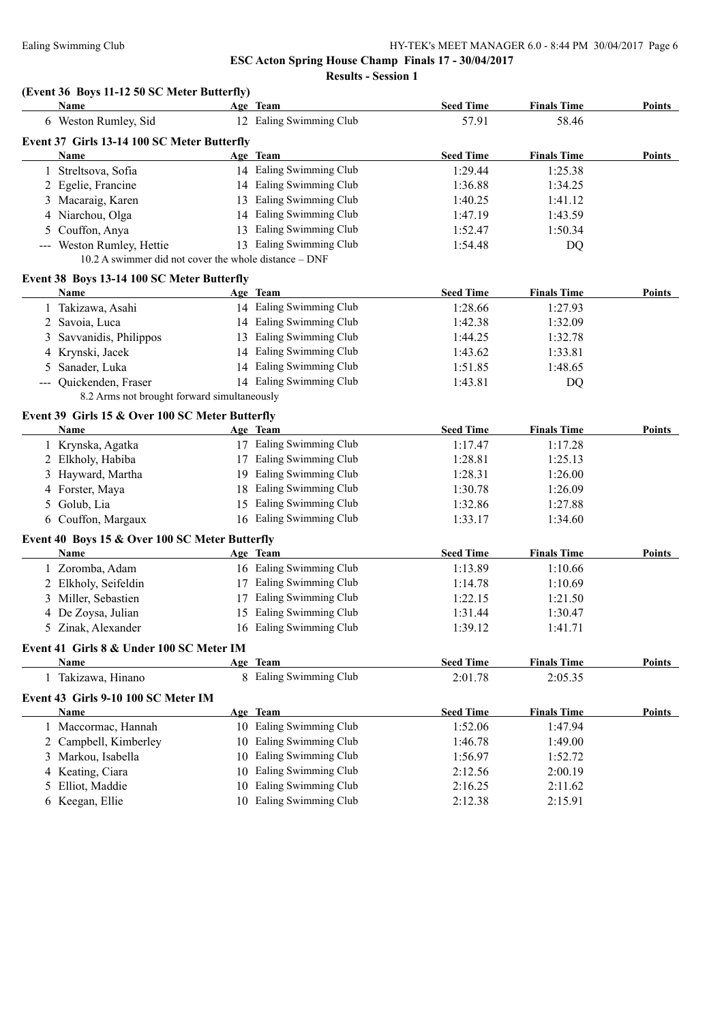**Results - Session 1**

#### **(Event 36 Boys 11-12 50 SC Meter Butterfly)**

|   | <b>Name</b>                                           |    | Age Team                            | <b>Seed Time</b> | <b>Finals Time</b> | Points        |
|---|-------------------------------------------------------|----|-------------------------------------|------------------|--------------------|---------------|
|   | 6 Weston Rumley, Sid                                  |    | 12 Ealing Swimming Club             | 57.91            | 58.46              |               |
|   | Event 37 Girls 13-14 100 SC Meter Butterfly           |    |                                     |                  |                    |               |
|   | Name                                                  |    | Age Team                            | <b>Seed Time</b> | <b>Finals Time</b> | Points        |
|   | 1 Streltsova, Sofia                                   |    | 14 Ealing Swimming Club             | 1:29.44          | 1:25.38            |               |
|   | 2 Egelie, Francine                                    |    | 14 Ealing Swimming Club             | 1:36.88          | 1:34.25            |               |
|   | 3 Macaraig, Karen                                     |    | 13 Ealing Swimming Club             | 1:40.25          | 1:41.12            |               |
|   | 4 Niarchou, Olga                                      |    | 14 Ealing Swimming Club             | 1:47.19          | 1:43.59            |               |
|   | 5 Couffon, Anya                                       |    | 13 Ealing Swimming Club             | 1:52.47          | 1:50.34            |               |
|   | --- Weston Rumley, Hettie                             |    | 13 Ealing Swimming Club             | 1:54.48          | DQ                 |               |
|   | 10.2 A swimmer did not cover the whole distance - DNF |    |                                     |                  |                    |               |
|   | Event 38 Boys 13-14 100 SC Meter Butterfly            |    |                                     |                  |                    |               |
|   | <b>Name</b>                                           |    | Age Team                            | <b>Seed Time</b> | <b>Finals Time</b> | <b>Points</b> |
|   | 1 Takizawa, Asahi                                     |    | 14 Ealing Swimming Club             | 1:28.66          | 1:27.93            |               |
|   | 2 Savoia, Luca                                        |    | 14 Ealing Swimming Club             | 1:42.38          | 1:32.09            |               |
|   | 3 Savvanidis, Philippos                               |    | 13 Ealing Swimming Club             | 1:44.25          | 1:32.78            |               |
|   | 4 Krynski, Jacek                                      |    | 14 Ealing Swimming Club             | 1:43.62          | 1:33.81            |               |
| 5 | Sanader, Luka                                         |    | 14 Ealing Swimming Club             | 1:51.85          | 1:48.65            |               |
|   | Quickenden, Fraser                                    |    | 14 Ealing Swimming Club             | 1:43.81          | DQ                 |               |
|   | 8.2 Arms not brought forward simultaneously           |    |                                     |                  |                    |               |
|   | Event 39 Girls 15 & Over 100 SC Meter Butterfly       |    |                                     |                  |                    |               |
|   | Name                                                  |    | Age Team                            | <b>Seed Time</b> | <b>Finals Time</b> | Points        |
|   | 1 Krynska, Agatka                                     |    | 17 Ealing Swimming Club             | 1:17.47          | 1:17.28            |               |
|   | 2 Elkholy, Habiba                                     |    | 17 Ealing Swimming Club             | 1:28.81          | 1:25.13            |               |
|   | 3 Hayward, Martha                                     |    | 19 Ealing Swimming Club             | 1:28.31          | 1:26.00            |               |
|   | 4 Forster, Maya                                       |    | 18 Ealing Swimming Club             | 1:30.78          | 1:26.09            |               |
|   | 5 Golub, Lia                                          |    | 15 Ealing Swimming Club             | 1:32.86          | 1:27.88            |               |
|   | 6 Couffon, Margaux                                    |    | 16 Ealing Swimming Club             | 1:33.17          | 1:34.60            |               |
|   |                                                       |    |                                     |                  |                    |               |
|   | Event 40 Boys 15 & Over 100 SC Meter Butterfly        |    |                                     |                  |                    |               |
|   | <b>Name</b>                                           |    | Age Team<br>16 Ealing Swimming Club | <b>Seed Time</b> | <b>Finals Time</b> | Points        |
|   | 1 Zoromba, Adam                                       |    |                                     | 1:13.89          | 1:10.66            |               |
|   | 2 Elkholy, Seifeldin                                  |    | 17 Ealing Swimming Club             | 1:14.78          | 1:10.69            |               |
|   | 3 Miller, Sebastien                                   |    | 17 Ealing Swimming Club             | 1:22.15          | 1:21.50            |               |
|   | 4 De Zoysa, Julian                                    |    | 15 Ealing Swimming Club             | 1:31.44          | 1:30.47            |               |
|   | 5 Zinak, Alexander                                    |    | 16 Ealing Swimming Club             | 1:39.12          | 1:41.71            |               |
|   | Event 41 Girls 8 & Under 100 SC Meter IM              |    |                                     |                  |                    |               |
|   | Name                                                  |    | Age Team                            | <b>Seed Time</b> | <b>Finals Time</b> | <b>Points</b> |
|   | 1 Takizawa, Hinano                                    |    | 8 Ealing Swimming Club              | 2:01.78          | 2:05.35            |               |
|   | Event 43 Girls 9-10 100 SC Meter IM                   |    |                                     |                  |                    |               |
|   | Name                                                  |    | Age Team                            | <b>Seed Time</b> | <b>Finals Time</b> | <b>Points</b> |
|   | 1 Maccormac, Hannah                                   |    | 10 Ealing Swimming Club             | 1:52.06          | 1:47.94            |               |
|   | 2 Campbell, Kimberley                                 | 10 | Ealing Swimming Club                | 1:46.78          | 1:49.00            |               |
| 3 | Markou, Isabella                                      | 10 | Ealing Swimming Club                | 1:56.97          | 1:52.72            |               |
| 4 | Keating, Ciara                                        | 10 | Ealing Swimming Club                | 2:12.56          | 2:00.19            |               |
| 5 | Elliot, Maddie                                        | 10 | Ealing Swimming Club                | 2:16.25          | 2:11.62            |               |
|   | 6 Keegan, Ellie                                       |    | 10 Ealing Swimming Club             | 2:12.38          | 2:15.91            |               |
|   |                                                       |    |                                     |                  |                    |               |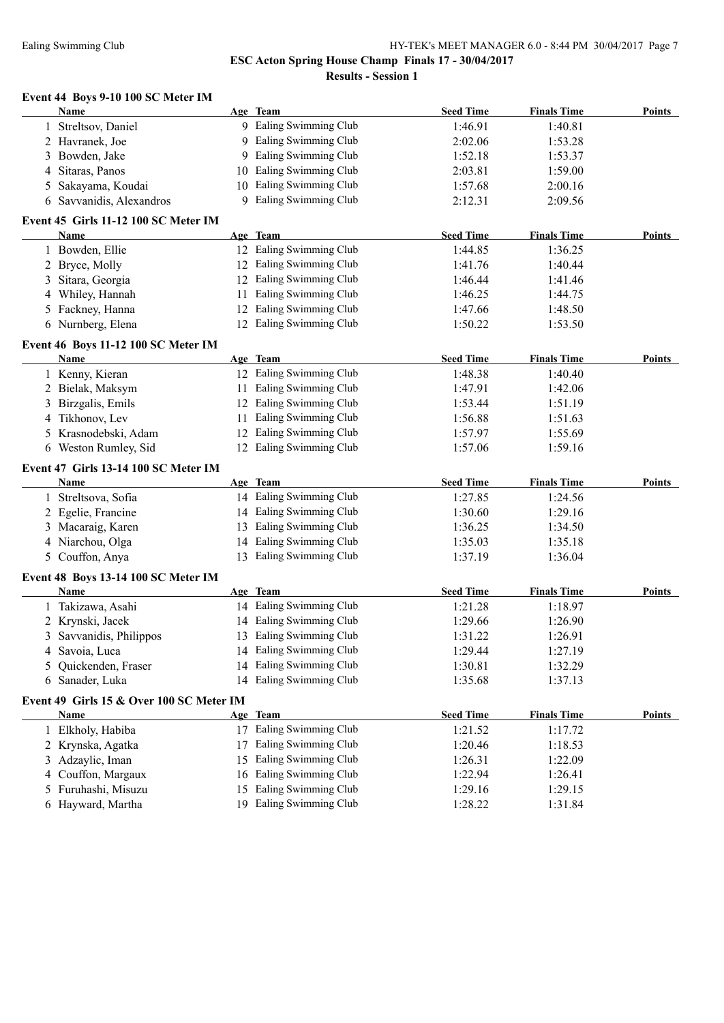# Ealing Swimming Club HY-TEK's MEET MANAGER 6.0 - 8:44 PM 30/04/2017 Page 7

**ESC Acton Spring House Champ Finals 17 - 30/04/2017**

**Results - Session 1**

## **Event 44 Boys 9-10 100 SC Meter IM**

|   | CHU TT DOVS 2-TO TOO BC MICICI TM<br>Name   |    | Age Team                | <b>Seed Time</b> | <b>Finals Time</b> | <b>Points</b> |
|---|---------------------------------------------|----|-------------------------|------------------|--------------------|---------------|
|   | 1 Streltsov, Daniel                         |    | 9 Ealing Swimming Club  | 1:46.91          | 1:40.81            |               |
|   | 2 Havranek, Joe                             |    | 9 Ealing Swimming Club  | 2:02.06          | 1:53.28            |               |
|   | 3 Bowden, Jake                              |    | 9 Ealing Swimming Club  | 1:52.18          | 1:53.37            |               |
|   | 4 Sitaras, Panos                            |    | 10 Ealing Swimming Club | 2:03.81          | 1:59.00            |               |
|   | 5 Sakayama, Koudai                          |    | 10 Ealing Swimming Club | 1:57.68          | 2:00.16            |               |
|   | 6 Savvanidis, Alexandros                    |    | 9 Ealing Swimming Club  | 2:12.31          | 2:09.56            |               |
|   | Event 45 Girls 11-12 100 SC Meter IM        |    |                         |                  |                    |               |
|   | Name                                        |    | Age Team                | <b>Seed Time</b> | <b>Finals Time</b> | <b>Points</b> |
|   | 1 Bowden, Ellie                             |    | 12 Ealing Swimming Club | 1:44.85          | 1:36.25            |               |
|   | 2 Bryce, Molly                              |    | 12 Ealing Swimming Club | 1:41.76          | 1:40.44            |               |
|   | 3 Sitara, Georgia                           |    | 12 Ealing Swimming Club | 1:46.44          | 1:41.46            |               |
|   | 4 Whiley, Hannah                            |    | 11 Ealing Swimming Club | 1:46.25          | 1:44.75            |               |
|   | 5 Fackney, Hanna                            |    | 12 Ealing Swimming Club | 1:47.66          | 1:48.50            |               |
|   | 6 Nurnberg, Elena                           |    | 12 Ealing Swimming Club | 1:50.22          | 1:53.50            |               |
|   |                                             |    |                         |                  |                    |               |
|   | Event 46 Boys 11-12 100 SC Meter IM<br>Name |    | Age Team                | <b>Seed Time</b> | <b>Finals Time</b> | <b>Points</b> |
|   | 1 Kenny, Kieran                             |    | 12 Ealing Swimming Club | 1:48.38          | 1:40.40            |               |
|   | 2 Bielak, Maksym                            |    | 11 Ealing Swimming Club | 1:47.91          | 1:42.06            |               |
|   | 3 Birzgalis, Emils                          |    | 12 Ealing Swimming Club | 1:53.44          | 1:51.19            |               |
|   | 4 Tikhonov, Lev                             |    | 11 Ealing Swimming Club | 1:56.88          | 1:51.63            |               |
|   |                                             |    | 12 Ealing Swimming Club |                  |                    |               |
|   | 5 Krasnodebski, Adam                        |    | 12 Ealing Swimming Club | 1:57.97          | 1:55.69            |               |
|   | 6 Weston Rumley, Sid                        |    |                         | 1:57.06          | 1:59.16            |               |
|   | Event 47 Girls 13-14 100 SC Meter IM        |    |                         |                  |                    |               |
|   | Name                                        |    | Age Team                | <b>Seed Time</b> | <b>Finals Time</b> | Points        |
|   | 1 Streltsova, Sofia                         |    | 14 Ealing Swimming Club | 1:27.85          | 1:24.56            |               |
|   | 2 Egelie, Francine                          |    | 14 Ealing Swimming Club | 1:30.60          | 1:29.16            |               |
|   | 3 Macaraig, Karen                           |    | 13 Ealing Swimming Club | 1:36.25          | 1:34.50            |               |
|   | 4 Niarchou, Olga                            |    | 14 Ealing Swimming Club | 1:35.03          | 1:35.18            |               |
|   | 5 Couffon, Anya                             |    | 13 Ealing Swimming Club | 1:37.19          | 1:36.04            |               |
|   | Event 48 Boys 13-14 100 SC Meter IM         |    |                         |                  |                    |               |
|   | Name                                        |    | Age Team                | <b>Seed Time</b> | <b>Finals Time</b> | <b>Points</b> |
|   | 1 Takizawa, Asahi                           |    | 14 Ealing Swimming Club | 1:21.28          | 1:18.97            |               |
|   | 2 Krynski, Jacek                            |    | 14 Ealing Swimming Club | 1:29.66          | 1:26.90            |               |
|   | 3 Savvanidis, Philippos                     |    | 13 Ealing Swimming Club | 1:31.22          | 1:26.91            |               |
| 4 | Savoia, Luca                                |    | 14 Ealing Swimming Club | 1:29.44          | 1:27.19            |               |
| 5 | Quickenden, Fraser                          |    | 14 Ealing Swimming Club | 1:30.81          | 1:32.29            |               |
|   | 6 Sanader, Luka                             |    | 14 Ealing Swimming Club | 1:35.68          | 1:37.13            |               |
|   | Event 49 Girls 15 & Over 100 SC Meter IM    |    |                         |                  |                    |               |
|   | <b>Name</b>                                 |    | Age Team                | <b>Seed Time</b> | <b>Finals Time</b> | <b>Points</b> |
|   | 1 Elkholy, Habiba                           | 17 | Ealing Swimming Club    | 1:21.52          | 1:17.72            |               |
|   | 2 Krynska, Agatka                           | 17 | Ealing Swimming Club    | 1:20.46          | 1:18.53            |               |
|   | 3 Adzaylic, Iman                            | 15 | Ealing Swimming Club    | 1:26.31          | 1:22.09            |               |
|   | 4 Couffon, Margaux                          | 16 | Ealing Swimming Club    | 1:22.94          | 1:26.41            |               |
|   | 5 Furuhashi, Misuzu                         | 15 | Ealing Swimming Club    | 1:29.16          | 1:29.15            |               |
|   | 6 Hayward, Martha                           |    | 19 Ealing Swimming Club | 1:28.22          | 1:31.84            |               |